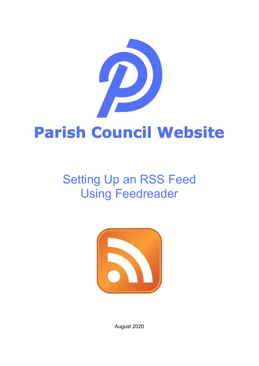

# Setting Up an RSS Feed Using Feedreader



August 2020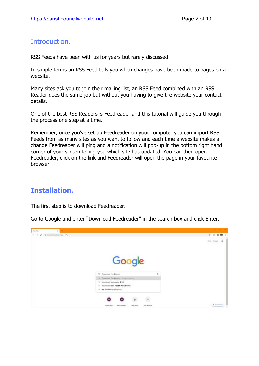## Introduction.

RSS Feeds have been with us for years but rarely discussed.

In simple terms an RSS Feed tells you when changes have been made to pages on a website.

Many sites ask you to join their mailing list, an RSS Feed combined with an RSS Reader does the same job but without you having to give the website your contact details.

One of the best RSS Readers is Feedreader and this tutorial will guide you through the process one step at a time.

Remember, once you've set up Feedreader on your computer you can import RSS Feeds from as many sites as you want to follow and each time a website makes a change Feedreader will ping and a notification will pop-up in the bottom right hand corner of your screen telling you which site has updated. You can then open Feedreader, click on the link and Feedreader will open the page in your favourite browser.

## **Installation.**

The first step is to download Feedreader.

Go to Google and enter "Download Feedreader" in the search box and click Enter.

| <b>Country</b><br>$\mathbf{r}$<br>$\psi \to G$ . Or insert loops in the $i$ - $W$ |                                    | $\begin{array}{c} \circ \\ \circ \end{array} \quad \begin{array}{c} \circ \\ \circ \end{array} \quad \begin{array}{c} \circ \\ \circ \end{array}$ |
|-----------------------------------------------------------------------------------|------------------------------------|---------------------------------------------------------------------------------------------------------------------------------------------------|
|                                                                                   |                                    |                                                                                                                                                   |
|                                                                                   |                                    | 丗                                                                                                                                                 |
|                                                                                   |                                    |                                                                                                                                                   |
|                                                                                   | Google                             |                                                                                                                                                   |
|                                                                                   |                                    |                                                                                                                                                   |
|                                                                                   |                                    |                                                                                                                                                   |
|                                                                                   | G. Download Feedmader              |                                                                                                                                                   |
|                                                                                   | 1. Dawrent Feedmate: Compe Stack-  |                                                                                                                                                   |
|                                                                                   | 4. Its vehicles the character 3.14 |                                                                                                                                                   |
|                                                                                   | C dounload feed reader for ubuntu  |                                                                                                                                                   |
|                                                                                   | This feedbracker download          |                                                                                                                                                   |
|                                                                                   | $^\ast$                            |                                                                                                                                                   |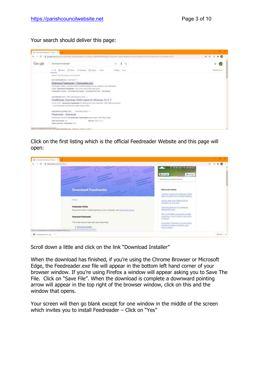Your search should deliver this page:



Click on the first listing which is the official Feedreader Website and this page will open:

| G Inchestrates (Service &                                                                                                 |                                                                                                  | $-$ 0 $-$                                              |
|---------------------------------------------------------------------------------------------------------------------------|--------------------------------------------------------------------------------------------------|--------------------------------------------------------|
| (T & hedmain crystocolum)                                                                                                 |                                                                                                  | $\begin{array}{c} \circ \\ \circ \\ \circ \end{array}$ |
|                                                                                                                           | <b>Gent canel</b>                                                                                |                                                        |
|                                                                                                                           | <b>B</b> made<br><b>Bill Chair Pinger</b>                                                        |                                                        |
|                                                                                                                           | like box \$1.01 of court branch; by Joan from                                                    |                                                        |
| <b>Download Feedreader</b>                                                                                                | News and ortales                                                                                 |                                                        |
|                                                                                                                           | Content Curatha For Newtons, 3 Easy<br>Stirre To Boot Vaul Connect Realisty                      |                                                        |
| MIST                                                                                                                      | How to tree, www.Witter's Book<br>family Globertz and reduct alleged                             |                                                        |
| <b>Feedvesder Online</b>                                                                                                  | <b>R Engage Sauces Taur Butate</b><br>New York Fred                                              |                                                        |
| If you don't wait to matell enything on your computer, use finalisation (mana-<br><b>Download Feedreader</b>              | Who is TRUMPers at armitte un fater<br>ment from Injects fulls it and where<br><b>BOCERRINGT</b> |                                                        |
| <b>WARRANT COMMITTEE OF A STATE OF A</b><br>This is the version that rough users clowmiast.<br>and production in the com- | Information Ownstall as Human Resis-<br>shipbenty causes symphons and                            |                                                        |
| · Diserban Handler<br>a Communication and the<br>Herichten um impure Fredinger 2120 market                                | <b>Business Depart H. Committee Committee</b>                                                    |                                                        |
| <b>IF</b> Insulanzia 21ther, and the                                                                                      |                                                                                                  | <b>Bank of M</b>                                       |

Scroll down a little and click on the link "Download Installer"

When the download has finished, if you're using the Chrome Browser or Microsoft Edge, the Feedreader.exe file will appear in the bottom left hand corner of your browser window. If you're using Firefox a window will appear asking you to Save The File. Click on "Save File". When the download is complete a downward pointing arrow will appear in the top right of the browser window, click on this and the window that opens.

Your screen will then go blank except for one window in the middle of the screen which invites you to install Feedreader – Click on "Yes"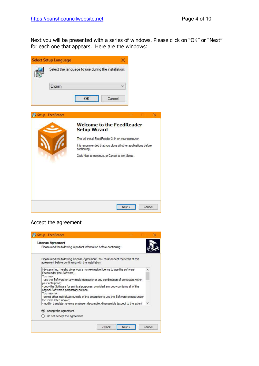Next you will be presented with a series of windows. Please click on "OK" or "Next" for each one that appears. Here are the windows:

|  | <b>Select Setup Language</b> |                                                                                                                                                                                                                                                     | ×              |
|--|------------------------------|-----------------------------------------------------------------------------------------------------------------------------------------------------------------------------------------------------------------------------------------------------|----------------|
|  |                              | Select the language to use during the installation:                                                                                                                                                                                                 |                |
|  | English                      |                                                                                                                                                                                                                                                     |                |
|  | Setup - FeedReader           | OK<br>Cancel                                                                                                                                                                                                                                        | ×              |
|  |                              | <b>Welcome to the FeedReader</b><br><b>Setup Wizard</b><br>This will install FeedReader 3.14 on your computer.<br>It is recommended that you close all other applications before<br>continuing.<br>Click Next to continue, or Cancel to exit Setup. |                |
|  |                              |                                                                                                                                                                                                                                                     | Next<br>Cancel |

### Accept the agreement

| License Agreement                                                                                                                                                                                                                    |  |  |
|--------------------------------------------------------------------------------------------------------------------------------------------------------------------------------------------------------------------------------------|--|--|
| Please read the following important information before continuing.                                                                                                                                                                   |  |  |
| Please read the following License Agreement. You must accept the terms of this<br>agreement before continuing with the installation.                                                                                                 |  |  |
| i-Systems Inc. hereby gives you a non-exclusive license to use the software<br>Feedreader the Software).<br>You may:                                                                                                                 |  |  |
| - use the Software on any single computer or any combination of computers within<br>your enterprise:<br>- copy the Software for archival purposes, provided any copy contains all of the<br>original Software's proprietary notices. |  |  |
| You may not:<br>- permit other individuals outside of the enterprise to use the Software except under<br>the terms listed above:<br>- modify, translate, reverse engineer, decompile, disassemble (except to the extent              |  |  |
| I accept the agreement                                                                                                                                                                                                               |  |  |
| () I do not accept the agreement                                                                                                                                                                                                     |  |  |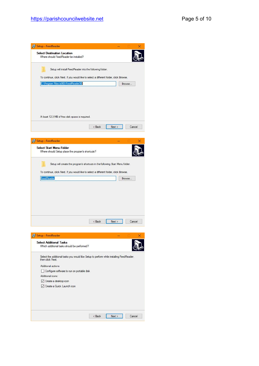| Setup - FeedReader<br>х                                                                                      |
|--------------------------------------------------------------------------------------------------------------|
| <b>Select Destination Location</b><br>Where should FeedReader be installed?                                  |
| Setup will install FeedReader into the following folder.                                                     |
| To continue, click Next. If you would like to select a different folder, click Browse.                       |
| C:\Program Files (x86)\FeedReader30<br>Browse                                                                |
| At least 12.3 MB of free disk space is required.                                                             |
| Next<br>< Back<br>Cancel                                                                                     |
|                                                                                                              |
| Setup - FeedReader<br>х                                                                                      |
| Select Start Menu Folder<br>Where should Setup place the program's shortcuts?                                |
| Setup will create the program's shortcuts in the following Start Menu folder.                                |
| To continue, click Next. If you would like to select a different folder, click Browse.                       |
| FeedReader<br>Browse                                                                                         |
|                                                                                                              |
| < Back<br>Next<br>Cancel                                                                                     |
| Setup - FeedReader<br>×                                                                                      |
|                                                                                                              |
| <b>Select Additional Tasks</b><br>Which additional tasks should be performed?                                |
| Select the additional tasks you would like Setup to perform while installing FeedReader,<br>then click Next. |
| Additional actions                                                                                           |
| Configure software to run on portable disk                                                                   |
| Additional icons:<br>○ Create a desktop icon                                                                 |
| Create a Quick Launch icon                                                                                   |
|                                                                                                              |
| < Back<br>Next<br>Cancel                                                                                     |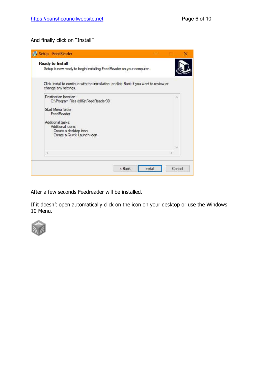#### And finally click on "Install"

| Setup - FeedReader                                                                                                                                                                                |         |        |
|---------------------------------------------------------------------------------------------------------------------------------------------------------------------------------------------------|---------|--------|
| Ready to Install<br>Setup is now ready to begin installing FeedReader on your computer.                                                                                                           |         |        |
| Click Install to continue with the installation, or click Back if you want to review or<br>change any settings.                                                                                   |         |        |
| Destination location:<br>C:\Program Files (x86)\FeedReader30<br>Start Menu folder:<br>FeedReader<br>Additional tasks:<br>Additional icons:<br>Create a desktop icon<br>Create a Quick Launch icon |         |        |
| ĕ                                                                                                                                                                                                 |         |        |
| < Back                                                                                                                                                                                            | Install | Cancel |

After a few seconds Feedreader will be installed.

If it doesn't open automatically click on the icon on your desktop or use the Windows 10 Menu.

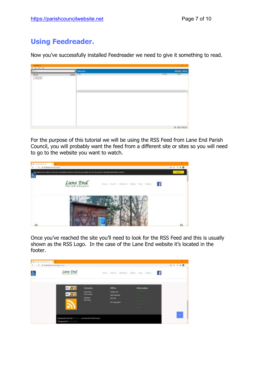## **Using Feedreader.**

Now you've successfully installed Feedreader we need to give it something to read.

|  |                                                                                                                                                                                                                                                                                                                                                                                                                                                                                            | <b>NOW NO</b>                                                                                                   |
|--|--------------------------------------------------------------------------------------------------------------------------------------------------------------------------------------------------------------------------------------------------------------------------------------------------------------------------------------------------------------------------------------------------------------------------------------------------------------------------------------------|-----------------------------------------------------------------------------------------------------------------|
|  | <b>THINK</b><br>$\frac{1}{2} \left( \frac{1}{2} \right) \left( \frac{1}{2} \right) \left( \frac{1}{2} \right) \left( \frac{1}{2} \right) \left( \frac{1}{2} \right) \left( \frac{1}{2} \right) \left( \frac{1}{2} \right) \left( \frac{1}{2} \right) \left( \frac{1}{2} \right) \left( \frac{1}{2} \right) \left( \frac{1}{2} \right) \left( \frac{1}{2} \right) \left( \frac{1}{2} \right) \left( \frac{1}{2} \right) \left( \frac{1}{2} \right) \left( \frac{1}{2} \right) \left( \frac$ | <b>Filter</b><br>$\frac{1}{2} \left( \frac{1}{2} \right) \left( \frac{1}{2} \right) \left( \frac{1}{2} \right)$ |
|  |                                                                                                                                                                                                                                                                                                                                                                                                                                                                                            |                                                                                                                 |
|  |                                                                                                                                                                                                                                                                                                                                                                                                                                                                                            |                                                                                                                 |
|  |                                                                                                                                                                                                                                                                                                                                                                                                                                                                                            |                                                                                                                 |
|  |                                                                                                                                                                                                                                                                                                                                                                                                                                                                                            |                                                                                                                 |
|  |                                                                                                                                                                                                                                                                                                                                                                                                                                                                                            | 89 99 903                                                                                                       |
|  | Wetcomat<br><b>COUNTY</b><br>11.000                                                                                                                                                                                                                                                                                                                                                                                                                                                        |                                                                                                                 |

For the purpose of this tutorial we will be using the RSS Feed from Lane End Parish Council, you will probably want the feed from a different site or sites so you will need to go to the website you want to watch.

| <b>B</b> Leadquillagh Lines | to meet participates in que                                                                                                            | 日本 日本春       |
|-----------------------------|----------------------------------------------------------------------------------------------------------------------------------------|--------------|
| Ġ.                          | This worked is seen contact to store your accountably participant you in the word for site. No personal 2 Members promotion is record. |              |
|                             | Lane End<br>News Gold's Doctors's Salesy Hart Cotact                                                                                   | <b>BELLY</b> |
| $\alpha$                    |                                                                                                                                        |              |

Once you've reached the site you'll need to look for the RSS Feed and this is usually shown as the RSS Logo. In the case of the Lane End website it's located in the footer.

| Ò | Lane End            |                                                                                                                          |                                                                          | $\label{eq:optimal} \eta(\alpha) = \Delta \eta(\beta) - 2 \eta(\alpha) \alpha + - 2 \eta(\alpha) - \eta(\alpha) - 2 \eta(\alpha) + \cdots.$ |          |
|---|---------------------|--------------------------------------------------------------------------------------------------------------------------|--------------------------------------------------------------------------|---------------------------------------------------------------------------------------------------------------------------------------------|----------|
|   | <b>WIL WORK 2.8</b> | <b>STATISTICS</b><br><b>Contacts:</b><br><b>Term Care</b><br><b>Frank Compre</b><br><b>Channels</b><br><b>TRA</b> Drivey | Office<br><b>FORM NH</b><br>mgly Matorities<br>ero ett.<br>An antarkitas | Information<br><b>MAX</b> (1997)                                                                                                            | $\sigma$ |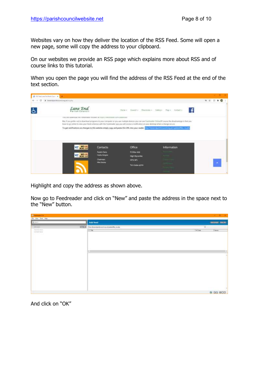Websites vary on how they deliver the location of the RSS Feed. Some will open a new page, some will copy the address to your clipboard.

On our websites we provide an RSS page which explains more about RSS and of course links to this tutorial.

When you open the page you will find the address of the RSS Feed at the end of the text section.



Highlight and copy the address as shown above.

Now go to Feedreader and click on "New" and paste the address in the space next to the "New" button.

| <b>ECONOMIC LTD</b><br>The View Task Help |  |                                       |                               | $ a$<br>- 4                          |
|-------------------------------------------|--|---------------------------------------|-------------------------------|--------------------------------------|
| <b>Bien</b>                               |  | Add Next                              |                               | <b><i><u>Sent price</u></i></b><br>œ |
| of your<br>Thereof plans<br>Lansan Land   |  | COD Hollywood automotive on<br>$+100$ | $\overline{\circ}$<br>THE TWO | biurre                               |
|                                           |  |                                       |                               |                                      |
|                                           |  | 437.00                                |                               | 巴                                    |
|                                           |  |                                       |                               |                                      |
|                                           |  |                                       |                               |                                      |
|                                           |  |                                       |                               |                                      |
|                                           |  |                                       |                               | <b>6 33 800</b>                      |

And click on "OK"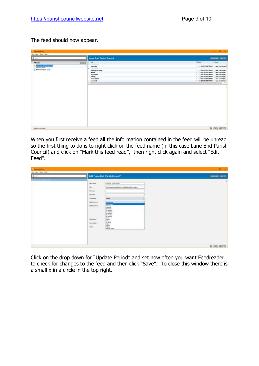The feed should now appear.

| <b>ECONOMIC LTD</b>                                                                                                                                                                                                                                                                                                             |          | $-0.1$                                                                                                                                                |                                                                                                                                                                                                                                                                                               |
|---------------------------------------------------------------------------------------------------------------------------------------------------------------------------------------------------------------------------------------------------------------------------------------------------------------------------------|----------|-------------------------------------------------------------------------------------------------------------------------------------------------------|-----------------------------------------------------------------------------------------------------------------------------------------------------------------------------------------------------------------------------------------------------------------------------------------------|
| The View Task Help                                                                                                                                                                                                                                                                                                              |          |                                                                                                                                                       |                                                                                                                                                                                                                                                                                               |
| <b>B</b> ien                                                                                                                                                                                                                                                                                                                    |          | Lane End: Parish Council                                                                                                                              | <b>SHIPPER SHEWS</b>                                                                                                                                                                                                                                                                          |
| Ab celest<br><b>The Contract of Contract of Contract of Contract of Contract of Contract of Contract of Contract of Contract of Contract of Contract of Contract of Contract of Contract of Contract of Contract of Contract of Contract of C</b><br>Case test Family (Lucy)<br>Li Varned Heuth<br><b>El Terrad senso (TIT)</b> | $\equiv$ | alm-<br>٠<br>pleasing<br>W-7-Lill in<br><b>FootputTry-map</b><br><b>Medium</b><br>assurance<br>about<br><b>Interchiave</b><br>contact<br>· EXITATIONS | <b>THE Date</b><br><b>Barne</b><br>· 11:57 00/08/2000 tarm ind Park !!<br>- 12:30 20107/2026 Law End Park<br>- 13:20 20/07/2020 Lave Ltd Park<br>- 12:30 20/07/2030 Lawrend Park<br>1 11:20 20107/2010 Law End Park<br>- 12:20 20/07/2020 Lane End Park<br>- 12:20 29/07/2020 Earn Fed Park + |
| <b>Talet created</b>                                                                                                                                                                                                                                                                                                            |          |                                                                                                                                                       | 6 99 800                                                                                                                                                                                                                                                                                      |

When you first receive a feed all the information contained in the feed will be unread so the first thing to do is to right click on the feed name (in this case Lane End Parish Council) and click on "Mark this feed read", then right click again and select "Edit Feed".

| <b>ECONOMIC 111</b><br>The View Task Help |                                                                                                                                                                                                                                                                                                                                                                                                                                                                                                                                                                                                  | $-0.1$            |
|-------------------------------------------|--------------------------------------------------------------------------------------------------------------------------------------------------------------------------------------------------------------------------------------------------------------------------------------------------------------------------------------------------------------------------------------------------------------------------------------------------------------------------------------------------------------------------------------------------------------------------------------------------|-------------------|
| <b>A</b> Hele                             | Edit "Lane End: Parish Council"                                                                                                                                                                                                                                                                                                                                                                                                                                                                                                                                                                  | <b>SHINK BILE</b> |
| participants from 215<br>u                | Les fot Festivant<br><b>Text turns</b><br>with.<br>HE.<br>Filter, Street data in board org ab Ludwig Rie, Inc., Pal.<br><b>Linner</b><br>Years of<br>DV-17<br><b>Vehall</b><br><b>Active car</b><br>14MM admin<br><b>Intelligibian</b><br><b>Industrial</b><br>Matuhic promise.<br>1-MAIN<br>Zelecting<br>5 HELMAL<br>(i) virules<br>Ltd enriqueme<br>120 mrs/6ds<br>30 rendes<br>Hit rancties<br><b>CONTRACTOR</b><br>$\frac{1}{2}$<br>Lost candole<br><b>E-haze</b><br><b>TRATIFIED</b><br>$\frac{1}{2} \frac{\partial \mathbf{u}}{\partial \mathbf{u}}$<br>Isda<br><b>Theselverbox</b><br>--- | ٠                 |
|                                           |                                                                                                                                                                                                                                                                                                                                                                                                                                                                                                                                                                                                  | 6 99 800          |

Click on the drop down for "Update Period" and set how often you want Feedreader to check for changes to the feed and then click "Save". To close this window there is a small x in a circle in the top right.